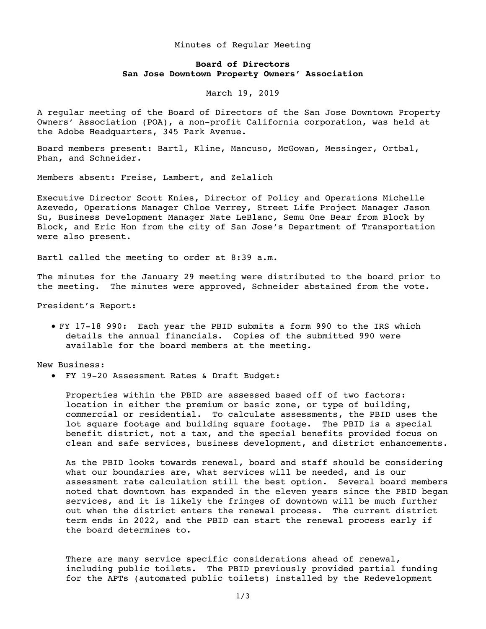## Minutes of Regular Meeting

## **Board of Directors San Jose Downtown Property Owners' Association**

## March 19, 2019

A regular meeting of the Board of Directors of the San Jose Downtown Property Owners' Association (POA), a non-profit California corporation, was held at the Adobe Headquarters, 345 Park Avenue.

Board members present: Bartl, Kline, Mancuso, McGowan, Messinger, Ortbal, Phan, and Schneider.

Members absent: Freise, Lambert, and Zelalich

Executive Director Scott Knies, Director of Policy and Operations Michelle Azevedo, Operations Manager Chloe Verrey, Street Life Project Manager Jason Su, Business Development Manager Nate LeBlanc, Semu One Bear from Block by Block, and Eric Hon from the city of San Jose's Department of Transportation were also present.

Bartl called the meeting to order at 8:39 a.m.

The minutes for the January 29 meeting were distributed to the board prior to the meeting. The minutes were approved, Schneider abstained from the vote.

President's Report:

• FY 17-18 990: Each year the PBID submits a form 990 to the IRS which details the annual financials. Copies of the submitted 990 were available for the board members at the meeting.

New Business:

• FY 19-20 Assessment Rates & Draft Budget:

Properties within the PBID are assessed based off of two factors: location in either the premium or basic zone, or type of building, commercial or residential. To calculate assessments, the PBID uses the lot square footage and building square footage. The PBID is a special benefit district, not a tax, and the special benefits provided focus on clean and safe services, business development, and district enhancements.

As the PBID looks towards renewal, board and staff should be considering what our boundaries are, what services will be needed, and is our assessment rate calculation still the best option. Several board members noted that downtown has expanded in the eleven years since the PBID began services, and it is likely the fringes of downtown will be much further out when the district enters the renewal process. The current district term ends in 2022, and the PBID can start the renewal process early if the board determines to.

There are many service specific considerations ahead of renewal, including public toilets. The PBID previously provided partial funding for the APTs (automated public toilets) installed by the Redevelopment